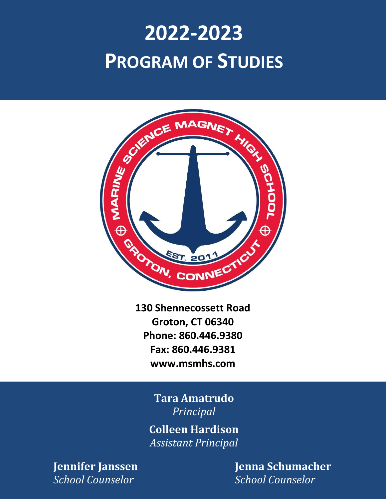# **2022-2023**



**130 Shennecossett Road Groton, CT 06340 Phone: 860.446.9380 Fax: 860.446.9381 www.msmhs.com**

> **Tara Amatrudo** *Principal*

**Colleen Hardison** *Assistant Principal*

*School Counselor School Counselor*

**Jennifer Janssen Jenna Schumacher**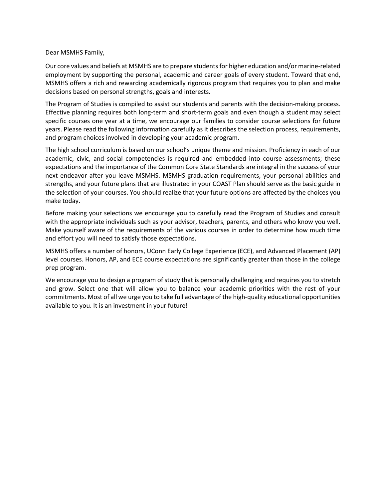#### Dear MSMHS Family,

Our core values and beliefs at MSMHS are to prepare students for higher education and/or marine-related employment by supporting the personal, academic and career goals of every student. Toward that end, MSMHS offers a rich and rewarding academically rigorous program that requires you to plan and make decisions based on personal strengths, goals and interests.

The Program of Studies is compiled to assist our students and parents with the decision-making process. Effective planning requires both long-term and short-term goals and even though a student may select specific courses one year at a time, we encourage our families to consider course selections for future years. Please read the following information carefully as it describes the selection process, requirements, and program choices involved in developing your academic program.

The high school curriculum is based on our school's unique theme and mission. Proficiency in each of our academic, civic, and social competencies is required and embedded into course assessments; these expectations and the importance of the Common Core State Standards are integral in the success of your next endeavor after you leave MSMHS. MSMHS graduation requirements, your personal abilities and strengths, and your future plans that are illustrated in your COAST Plan should serve as the basic guide in the selection of your courses. You should realize that your future options are affected by the choices you make today.

Before making your selections we encourage you to carefully read the Program of Studies and consult with the appropriate individuals such as your advisor, teachers, parents, and others who know you well. Make yourself aware of the requirements of the various courses in order to determine how much time and effort you will need to satisfy those expectations.

MSMHS offers a number of honors, UConn Early College Experience (ECE), and Advanced Placement (AP) level courses. Honors, AP, and ECE course expectations are significantly greater than those in the college prep program.

We encourage you to design a program of study that is personally challenging and requires you to stretch and grow. Select one that will allow you to balance your academic priorities with the rest of your commitments. Most of all we urge you to take full advantage of the high-quality educational opportunities available to you. It is an investment in your future!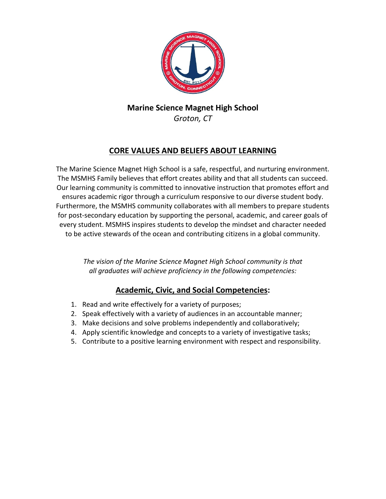

# **Marine Science Magnet High School**

## *Groton, CT*

### **CORE VALUES AND BELIEFS ABOUT LEARNING**

The Marine Science Magnet High School is a safe, respectful, and nurturing environment. The MSMHS Family believes that effort creates ability and that all students can succeed. Our learning community is committed to innovative instruction that promotes effort and ensures academic rigor through a curriculum responsive to our diverse student body. Furthermore, the MSMHS community collaborates with all members to prepare students for post-secondary education by supporting the personal, academic, and career goals of every student. MSMHS inspires students to develop the mindset and character needed to be active stewards of the ocean and contributing citizens in a global community.

> *The vision of the Marine Science Magnet High School community is that all graduates will achieve proficiency in the following competencies:*

### **Academic, Civic, and Social Competencies:**

- 1. Read and write effectively for a variety of purposes;
- 2. Speak effectively with a variety of audiences in an accountable manner;
- 3. Make decisions and solve problems independently and collaboratively;
- 4. Apply scientific knowledge and concepts to a variety of investigative tasks;
- 5. Contribute to a positive learning environment with respect and responsibility.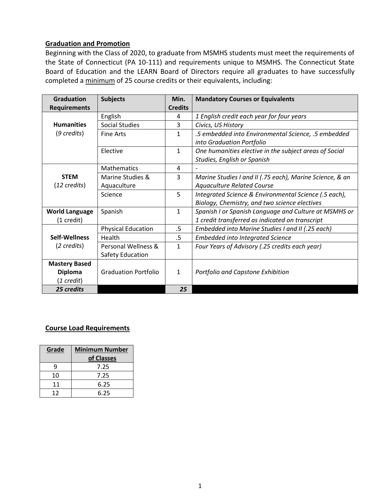#### **Graduation and Promotion**

Beginning with the Class of 2020, to graduate from MSMHS students must meet the requirements of the State of Connecticut (PA 10-111) and requirements unique to MSMHS. The Connecticut State Board of Education and the LEARN Board of Directors require all graduates to have successfully completed a minimum of 25 course credits or their equivalents, including:

| <b>Graduation</b>      | <b>Subjects</b>             | Min.           | <b>Mandatory Courses or Equivalents</b>                  |
|------------------------|-----------------------------|----------------|----------------------------------------------------------|
| <b>Requirements</b>    |                             | <b>Credits</b> |                                                          |
|                        | English                     | 4              | 1 English credit each year for four years                |
| <b>Humanities</b>      | <b>Social Studies</b>       | 3              | Civics, US History                                       |
| $(9 \text{ credits})$  | <b>Fine Arts</b>            | $\mathbf{1}$   | .5 embedded into Environmental Science, .5 embedded      |
|                        |                             |                | into Graduation Portfolio                                |
|                        | Elective                    | $\mathbf{1}$   | One humanities elective in the subject areas of Social   |
|                        |                             |                | Studies, English or Spanish                              |
|                        | <b>Mathematics</b>          | 4              |                                                          |
| <b>STEM</b>            | Marine Studies &            | 3              | Marine Studies I and II (.75 each), Marine Science, & an |
| $(12 \text{ credits})$ | Aquaculture                 |                | <b>Aquaculture Related Course</b>                        |
|                        | Science                     | 5              | Integrated Science & Environmental Science (.5 each),    |
|                        |                             |                | Biology, Chemistry, and two science electives            |
| <b>World Language</b>  | Spanish                     | $\mathbf{1}$   | Spanish I or Spanish Language and Culture at MSMHS or    |
| (1 credit)             |                             |                | 1 credit transferred as indicated on transcript          |
|                        | <b>Physical Education</b>   | .5             | Embedded into Marine Studies I and II (.25 each)         |
| Self-Wellness          | Health                      | .5             | <b>Embedded into Integrated Science</b>                  |
| (2 credits)            | Personal Wellness &         | 1              | Four Years of Advisory (.25 credits each year)           |
|                        | Safety Education            |                |                                                          |
| <b>Mastery Based</b>   |                             |                |                                                          |
| <b>Diploma</b>         | <b>Graduation Portfolio</b> | $\mathbf{1}$   | Portfolio and Capstone Exhibition                        |
| (1 credit)             |                             |                |                                                          |
| 25 credits             |                             | 25             |                                                          |

#### **Course Load Requirements**

| Grade | <b>Minimum Number</b><br>of Classes |
|-------|-------------------------------------|
| q     | 7.25                                |
| 10    | 7.25                                |
| 11    | 6.25                                |
| 12    | 6.25                                |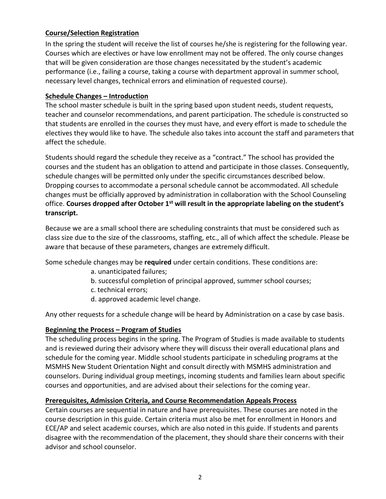#### **Course/Selection Registration**

In the spring the student will receive the list of courses he/she is registering for the following year. Courses which are electives or have low enrollment may not be offered. The only course changes that will be given consideration are those changes necessitated by the student's academic performance (i.e., failing a course, taking a course with department approval in summer school, necessary level changes, technical errors and elimination of requested course).

#### **Schedule Changes – Introduction**

The school master schedule is built in the spring based upon student needs, student requests, teacher and counselor recommendations, and parent participation. The schedule is constructed so that students are enrolled in the courses they must have, and every effort is made to schedule the electives they would like to have. The schedule also takes into account the staff and parameters that affect the schedule.

Students should regard the schedule they receive as a "contract." The school has provided the courses and the student has an obligation to attend and participate in those classes. Consequently, schedule changes will be permitted only under the specific circumstances described below. Dropping courses to accommodate a personal schedule cannot be accommodated. All schedule changes must be officially approved by administration in collaboration with the School Counseling office. **Courses dropped after October 1st will result in the appropriate labeling on the student's transcript.**

Because we are a small school there are scheduling constraints that must be considered such as class size due to the size of the classrooms, staffing, etc., all of which affect the schedule. Please be aware that because of these parameters, changes are extremely difficult.

Some schedule changes may be **required** under certain conditions. These conditions are:

- a. unanticipated failures;
- b. successful completion of principal approved, summer school courses;
- c. technical errors;
- d. approved academic level change.

Any other requests for a schedule change will be heard by Administration on a case by case basis.

#### **Beginning the Process – Program of Studies**

The scheduling process begins in the spring. The Program of Studies is made available to students and is reviewed during their advisory where they will discuss their overall educational plans and schedule for the coming year. Middle school students participate in scheduling programs at the MSMHS New Student Orientation Night and consult directly with MSMHS administration and counselors. During individual group meetings, incoming students and families learn about specific courses and opportunities, and are advised about their selections for the coming year.

#### **Prerequisites, Admission Criteria, and Course Recommendation Appeals Process**

Certain courses are sequential in nature and have prerequisites. These courses are noted in the course description in this guide. Certain criteria must also be met for enrollment in Honors and ECE/AP and select academic courses, which are also noted in this guide. If students and parents disagree with the recommendation of the placement, they should share their concerns with their advisor and school counselor.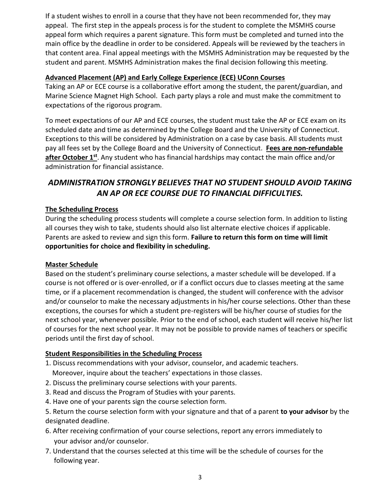If a student wishes to enroll in a course that they have not been recommended for, they may appeal. The first step in the appeals process is for the student to complete the MSMHS course appeal form which requires a parent signature. This form must be completed and turned into the main office by the deadline in order to be considered. Appeals will be reviewed by the teachers in that content area. Final appeal meetings with the MSMHS Administration may be requested by the student and parent. MSMHS Administration makes the final decision following this meeting.

#### **Advanced Placement (AP) and Early College Experience (ECE) UConn Courses**

Taking an AP or ECE course is a collaborative effort among the student, the parent/guardian, and Marine Science Magnet High School. Each party plays a role and must make the commitment to expectations of the rigorous program.

To meet expectations of our AP and ECE courses, the student must take the AP or ECE exam on its scheduled date and time as determined by the College Board and the University of Connecticut. Exceptions to this will be considered by Administration on a case by case basis. All students must pay all fees set by the College Board and the University of Connecticut. **Fees are non-refundable after October 1st**. Any student who has financial hardships may contact the main office and/or administration for financial assistance.

### *ADMINISTRATION STRONGLY BELIEVES THAT NO STUDENT SHOULD AVOID TAKING AN AP OR ECE COURSE DUE TO FINANCIAL DIFFICULTIES.*

### **The Scheduling Process**

During the scheduling process students will complete a course selection form. In addition to listing all courses they wish to take, students should also list alternate elective choices if applicable. Parents are asked to review and sign this form. **Failure to return this form on time will limit opportunities for choice and flexibility in scheduling.**

#### **Master Schedule**

Based on the student's preliminary course selections, a master schedule will be developed. If a course is not offered or is over-enrolled, or if a conflict occurs due to classes meeting at the same time, or if a placement recommendation is changed, the student will conference with the advisor and/or counselor to make the necessary adjustments in his/her course selections. Other than these exceptions, the courses for which a student pre-registers will be his/her course of studies for the next school year, whenever possible. Prior to the end of school, each student will receive his/her list of courses for the next school year. It may not be possible to provide names of teachers or specific periods until the first day of school.

#### **Student Responsibilities in the Scheduling Process**

- 1. Discuss recommendations with your advisor, counselor, and academic teachers.
- Moreover, inquire about the teachers' expectations in those classes.
- 2. Discuss the preliminary course selections with your parents.
- 3. Read and discuss the Program of Studies with your parents.
- 4. Have one of your parents sign the course selection form.
- 5. Return the course selection form with your signature and that of a parent **to your advisor** by the designated deadline.
- 6. After receiving confirmation of your course selections, report any errors immediately to your advisor and/or counselor.
- 7. Understand that the courses selected at this time will be the schedule of courses for the following year.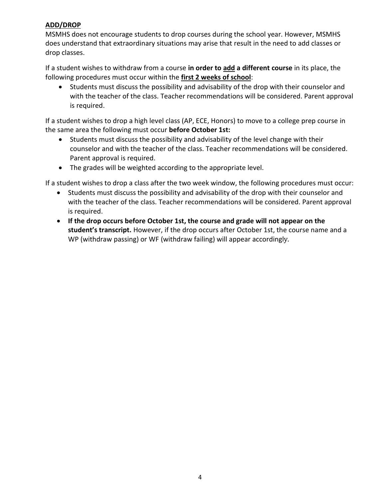#### **ADD/DROP**

MSMHS does not encourage students to drop courses during the school year. However, MSMHS does understand that extraordinary situations may arise that result in the need to add classes or drop classes.

If a student wishes to withdraw from a course **in order to add a different course** in its place, the following procedures must occur within the **first 2 weeks of school**:

• Students must discuss the possibility and advisability of the drop with their counselor and with the teacher of the class. Teacher recommendations will be considered. Parent approval is required.

If a student wishes to drop a high level class (AP, ECE, Honors) to move to a college prep course in the same area the following must occur **before October 1st:**

- Students must discuss the possibility and advisability of the level change with their counselor and with the teacher of the class. Teacher recommendations will be considered. Parent approval is required.
- The grades will be weighted according to the appropriate level.

If a student wishes to drop a class after the two week window, the following procedures must occur:

- Students must discuss the possibility and advisability of the drop with their counselor and with the teacher of the class. Teacher recommendations will be considered. Parent approval is required.
- **If the drop occurs before October 1st, the course and grade will not appear on the student's transcript.** However, if the drop occurs after October 1st, the course name and a WP (withdraw passing) or WF (withdraw failing) will appear accordingly.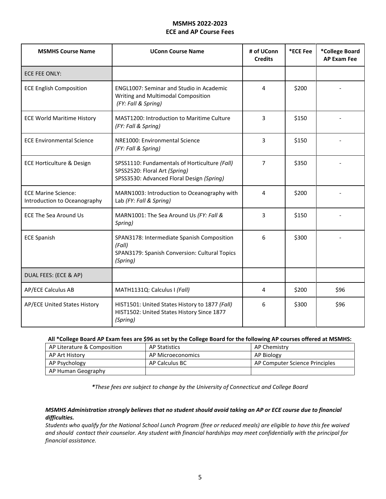#### **MSMHS 2022-2023 ECE and AP Course Fees**

| <b>MSMHS Course Name</b>                                   | <b>UConn Course Name</b>                                                                                                    | # of UConn<br><b>Credits</b> | *ECE Fee | *College Board<br><b>AP Exam Fee</b> |
|------------------------------------------------------------|-----------------------------------------------------------------------------------------------------------------------------|------------------------------|----------|--------------------------------------|
| ECE FEE ONLY:                                              |                                                                                                                             |                              |          |                                      |
| <b>ECE English Composition</b>                             | <b>ENGL1007: Seminar and Studio in Academic</b><br>Writing and Multimodal Composition<br>(FY: Fall & Spring)                | 4                            | \$200    |                                      |
| <b>ECE World Maritime History</b>                          | MAST1200: Introduction to Maritime Culture<br>(FY: Fall & Spring)                                                           | 3                            | \$150    |                                      |
| <b>ECE Environmental Science</b>                           | NRE1000: Environmental Science<br>(FY: Fall & Spring)                                                                       | 3                            | \$150    |                                      |
| ECE Horticulture & Design                                  | SPSS1110: Fundamentals of Horticulture (Fall)<br>SPSS2520: Floral Art (Spring)<br>SPSS3530: Advanced Floral Design (Spring) | $\overline{7}$               | \$350    |                                      |
| <b>ECE Marine Science:</b><br>Introduction to Oceanography | MARN1003: Introduction to Oceanography with<br>Lab (FY: Fall & Spring)                                                      | 4                            | \$200    |                                      |
| <b>ECE The Sea Around Us</b>                               | MARN1001: The Sea Around Us (FY: Fall &<br>Spring)                                                                          | 3                            | \$150    |                                      |
| <b>ECE Spanish</b>                                         | SPAN3178: Intermediate Spanish Composition<br>(Fall)<br>SPAN3179: Spanish Conversion: Cultural Topics<br>(Spring)           | 6                            | \$300    |                                      |
| DUAL FEES: (ECE & AP)                                      |                                                                                                                             |                              |          |                                      |
| <b>AP/ECE Calculus AB</b>                                  | MATH1131Q: Calculus I (Fall)                                                                                                | 4                            | \$200    | \$96                                 |
| AP/ECE United States History                               | HIST1501: United States History to 1877 (Fall)<br>HIST1502: United States History Since 1877<br>(Spring)                    | 6                            | \$300    | \$96                                 |

#### **All \*College Board AP Exam fees are \$96 as set by the College Board for the following AP courses offered at MSMHS:**

| AP Literature & Composition | AP Statistics     | AP Chemistry                   |
|-----------------------------|-------------------|--------------------------------|
| AP Art History              | AP Microeconomics | AP Biology                     |
| AP Psychology               | AP Calculus BC    | AP Computer Science Principles |
| AP Human Geography          |                   |                                |

*\*These fees are subject to change by the University of Connecticut and College Board*

#### *MSMHS Administration strongly believes that no student should avoid taking an AP or ECE course due to financial difficulties.*

*Students who qualify for the National School Lunch Program (free or reduced meals) are eligible to have this fee waived and should contact their counselor. Any student with financial hardships may meet confidentially with the principal for financial assistance.*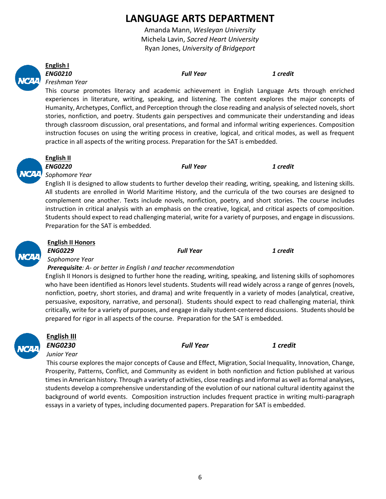# **LANGUAGE ARTS DEPARTMENT**

Amanda Mann, *Wesleyan University* Michela Lavin, *Sacred Heart University* Ryan Jones, *University of Bridgeport*



### **English I**

*ENG0210 Full Year 1 credit*

*Freshman Year* 

This course promotes literacy and academic achievement in English Language Arts through enriched experiences in literature, writing, speaking, and listening. The content explores the major concepts of Humanity, Archetypes, Conflict, and Perception through the close reading and analysis of selected novels, short stories, nonfiction, and poetry. Students gain perspectives and communicate their understanding and ideas through classroom discussion, oral presentations, and formal and informal writing experiences. Composition instruction focuses on using the writing process in creative, logical, and critical modes, as well as frequent practice in all aspects of the writing process. Preparation for the SAT is embedded.



### **English II**

*ENG0220 Full Year 1 credit*

*Sophomore Year* 

English II is designed to allow students to further develop their reading, writing, speaking, and listening skills. All students are enrolled in World Maritime History, and the curricula of the two courses are designed to complement one another. Texts include novels, nonfiction, poetry, and short stories. The course includes instruction in critical analysis with an emphasis on the creative, logical, and critical aspects of composition. Students should expect to read challenging material, write for a variety of purposes, and engage in discussions. Preparation for the SAT is embedded.



### **English II Honors**

*ENG0229 Full Year 1 credit*

*Sophomore Year* 

#### *Prerequisite: A- or better in English I and teacher recommendation*

English II Honors is designed to further hone the reading, writing, speaking, and listening skills of sophomores who have been identified as Honors level students. Students will read widely across a range of genres (novels, nonfiction, poetry, short stories, and drama) and write frequently in a variety of modes (analytical, creative, persuasive, expository, narrative, and personal). Students should expect to read challenging material, think critically, write for a variety of purposes, and engage in daily student-centered discussions. Students should be prepared for rigor in all aspects of the course. Preparation for the SAT is embedded.



# **English III**

*ENG0230 Full Year 1 credit Junior Year* 

This course explores the major concepts of Cause and Effect, Migration, Social Inequality, Innovation, Change, Prosperity, Patterns, Conflict, and Community as evident in both nonfiction and fiction published at various times in American history. Through a variety of activities, close readings and informal as well as formal analyses, students develop a comprehensive understanding of the evolution of our national cultural identity against the background of world events. Composition instruction includes frequent practice in writing multi-paragraph essays in a variety of types, including documented papers. Preparation for SAT is embedded.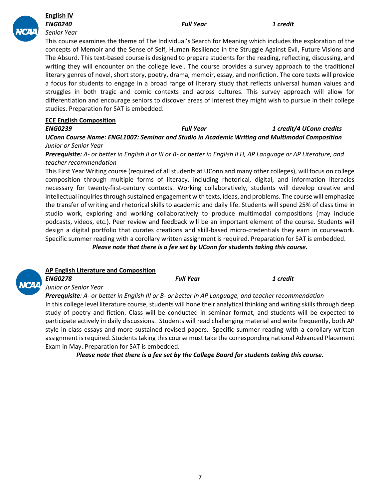

#### **English IV** *ENG0240 Full Year 1 credit Senior Year*

This course examines the theme of The Individual's Search for Meaning which includes the exploration of the concepts of Memoir and the Sense of Self, Human Resilience in the Struggle Against Evil, Future Visions and The Absurd. This text-based course is designed to prepare students for the reading, reflecting, discussing, and writing they will encounter on the college level. The course provides a survey approach to the traditional literary genres of novel, short story, poetry, drama, memoir, essay, and nonfiction. The core texts will provide a focus for students to engage in a broad range of literary study that reflects universal human values and struggles in both tragic and comic contexts and across cultures. This survey approach will allow for differentiation and encourage seniors to discover areas of interest they might wish to pursue in their college studies. Preparation for SAT is embedded.

#### **ECE English Composition**

*ENG0239 Full Year 1 credit/4 UConn credits UConn Course Name: ENGL1007: Seminar and Studio in Academic Writing and Multimodal Composition Junior or Senior Year*

*Prerequisite: A- or better in English II or III or B- or better in English II H, AP Language or AP Literature, and teacher recommendation*

This First Year Writing course (required of all students at UConn and many other colleges), will focus on college composition through multiple forms of literacy, including rhetorical, digital, and information literacies necessary for twenty-first-century contexts. Working collaboratively, students will develop creative and intellectual inquiries through sustained engagement with texts, ideas, and problems. The course will emphasize the transfer of writing and rhetorical skills to academic and daily life. Students will spend 25% of class time in studio work, exploring and working collaboratively to produce multimodal compositions (may include podcasts, videos, etc.). Peer review and feedback will be an important element of the course. Students will design a digital portfolio that curates creations and skill-based micro-credentials they earn in coursework. Specific summer reading with a corollary written assignment is required. Preparation for SAT is embedded.

*Please note that there is a fee set by UConn for students taking this course.*



### **AP English Literature and Composition**

*ENG0278 Full Year 1 credit Junior or Senior Year Prerequisite: A- or better in English III or B- or better in AP Language, and teacher recommendation* In this college level literature course, students will hone their analytical thinking and writing skills through deep study of poetry and fiction. Class will be conducted in seminar format, and students will be expected to participate actively in daily discussions. Students will read challenging material and write frequently, both AP

style in-class essays and more sustained revised papers. Specific summer reading with a corollary written assignment is required. Students taking this course must take the corresponding national Advanced Placement Exam in May. Preparation for SAT is embedded.

*Please note that there is a fee set by the College Board for students taking this course.*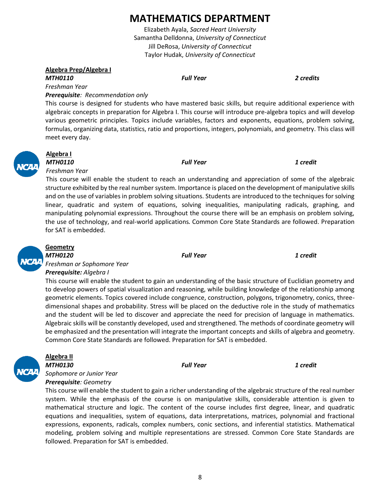# **MATHEMATICS DEPARTMENT**

Elizabeth Ayala, *Sacred Heart University* Samantha Delldonna, *University of Connecticut* Jill DeRosa, *University of Connecticut* Taylor Hudak, *University of Connecticut*

#### **Algebra Prep/Algebra I**

#### *MTH0110 Full Year 2 credits*

**Algebra I** 

*Freshman Year* 

*Freshman Year* 

#### *Prerequisite: Recommendation only*

This course is designed for students who have mastered basic skills, but require additional experience with algebraic concepts in preparation for Algebra I. This course will introduce pre-algebra topics and will develop various geometric principles. Topics include variables, factors and exponents, equations, problem solving, formulas, organizing data, statistics, ratio and proportions, integers, polynomials, and geometry. This class will meet every day.

#### *MTH0110 Full Year 1 credit*

This course will enable the student to reach an understanding and appreciation of some of the algebraic structure exhibited by the real number system. Importance is placed on the development of manipulative skills and on the use of variables in problem solving situations. Students are introduced to the techniques for solving linear, quadratic and system of equations, solving inequalities, manipulating radicals, graphing, and manipulating polynomial expressions. Throughout the course there will be an emphasis on problem solving, the use of technology, and real-world applications. Common Core State Standards are followed. Preparation for SAT is embedded.



### **Geometry**

*MTH0120 Full Year 1 credit Freshman or Sophomore Year Prerequisite: Algebra I*

This course will enable the student to gain an understanding of the basic structure of Euclidian geometry and to develop powers of spatial visualization and reasoning, while building knowledge of the relationship among geometric elements. Topics covered include congruence, construction, polygons, trigonometry, conics, threedimensional shapes and probability. Stress will be placed on the deductive role in the study of mathematics and the student will be led to discover and appreciate the need for precision of language in mathematics. Algebraic skills will be constantly developed, used and strengthened. The methods of coordinate geometry will be emphasized and the presentation will integrate the important concepts and skills of algebra and geometry. Common Core State Standards are followed. Preparation for SAT is embedded.



### **Algebra II**

*MTH0130 Full Year 1 credit Sophomore or Junior Year Prerequisite: Geometry*

This course will enable the student to gain a richer understanding of the algebraic structure of the real number system. While the emphasis of the course is on manipulative skills, considerable attention is given to mathematical structure and logic. The content of the course includes first degree, linear, and quadratic equations and inequalities, system of equations, data interpretations, matrices, polynomial and fractional expressions, exponents, radicals, complex numbers, conic sections, and inferential statistics. Mathematical modeling, problem solving and multiple representations are stressed. Common Core State Standards are followed. Preparation for SAT is embedded.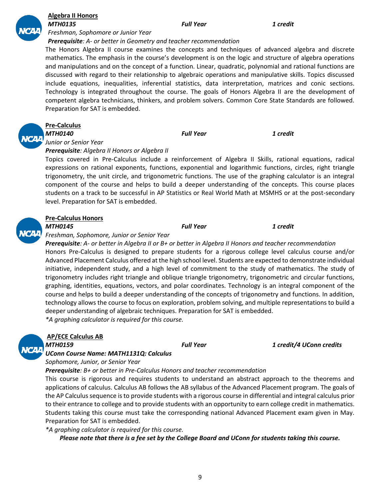#### **Algebra II Honors** *MTH0135 Full Year 1 credit*

*Freshman, Sophomore or Junior Year* 

#### *Prerequisite: A- or better in Geometry and teacher recommendation*

The Honors Algebra II course examines the concepts and techniques of advanced algebra and discrete mathematics. The emphasis in the course's development is on the logic and structure of algebra operations and manipulations and on the concept of a function. Linear, quadratic, polynomial and rational functions are discussed with regard to their relationship to algebraic operations and manipulative skills. Topics discussed include equations, inequalities, inferential statistics, data interpretation, matrices and conic sections. Technology is integrated throughout the course. The goals of Honors Algebra II are the development of competent algebra technicians, thinkers, and problem solvers. Common Core State Standards are followed. Preparation for SAT is embedded.



### **Pre-Calculus**

*MTH0140 Full Year 1 credit Junior or Senior Year* 

#### *Prerequisite: Algebra II Honors or Algebra II*

Topics covered in Pre-Calculus include a reinforcement of Algebra II Skills, rational equations, radical expressions on rational exponents, functions, exponential and logarithmic functions, circles, right triangle trigonometry, the unit circle, and trigonometric functions. The use of the graphing calculator is an integral component of the course and helps to build a deeper understanding of the concepts. This course places students on a track to be successful in AP Statistics or Real World Math at MSMHS or at the post-secondary level. Preparation for SAT is embedded.

#### **Pre-Calculus Honors**

#### *MTH0145 Full Year 1 credit*

*Freshman, Sophomore, Junior or Senior Year* 

*Prerequisite: A- or better in Algebra II or B+ or better in Algebra II Honors and teacher recommendation* Honors Pre-Calculus is designed to prepare students for a rigorous college level calculus course and/or Advanced Placement Calculus offered at the high school level. Students are expected to demonstrate individual initiative, independent study, and a high level of commitment to the study of mathematics. The study of trigonometry includes right triangle and oblique triangle trigonometry, trigonometric and circular functions, graphing, identities, equations, vectors, and polar coordinates. Technology is an integral component of the course and helps to build a deeper understanding of the concepts of trigonometry and functions. In addition, technology allows the course to focus on exploration, problem solving, and multiple representations to build a deeper understanding of algebraic techniques. Preparation for SAT is embedded. *\*A graphing calculator is required for this course.* 

### **AP/ECE Calculus AB**

*MTH0159 Full Year 1 credit/4 UConn credits*

*UConn Course Name: MATH1131Q: Calculus*

*Sophomore, Junior, or Senior Year* 

*Prerequisite: B+ or better in Pre-Calculus Honors and teacher recommendation*

This course is rigorous and requires students to understand an abstract approach to the theorems and applications of calculus. Calculus AB follows the AB syllabus of the Advanced Placement program. The goals of the AP Calculus sequence is to provide students with a rigorous course in differential and integral calculus prior to their entrance to college and to provide students with an opportunity to earn college credit in mathematics. Students taking this course must take the corresponding national Advanced Placement exam given in May. Preparation for SAT is embedded.

*\*A graphing calculator is required for this course.* 

*Please note that there is a fee set by the College Board and UConn for students taking this course.*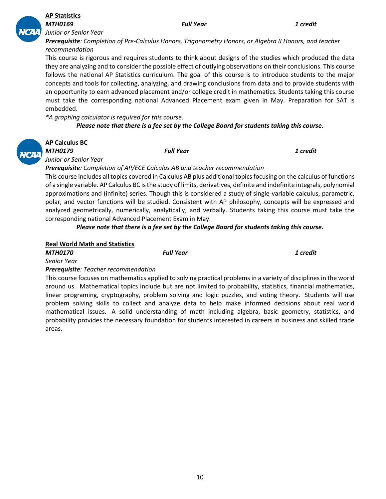10

#### *MTH0169 Full Year 1 credit*

*Prerequisite: Completion of Pre-Calculus Honors, Trigonometry Honors, or Algebra II Honors, and teacher recommendation*

This course is rigorous and requires students to think about designs of the studies which produced the data they are analyzing and to consider the possible effect of outlying observations on their conclusions. This course follows the national AP Statistics curriculum. The goal of this course is to introduce students to the major concepts and tools for collecting, analyzing, and drawing conclusions from data and to provide students with an opportunity to earn advanced placement and/or college credit in mathematics. Students taking this course must take the corresponding national Advanced Placement exam given in May. Preparation for SAT is embedded.

*\*A graphing calculator is required for this course.* 

*Please note that there is a fee set by the College Board for students taking this course.*

| Al |
|----|
| M  |

### **AP Calculus BC**

**AP Statistics** 

*Junior or Senior Year* 

*MTH0179 Full Year 1 credit*

*Junior or Senior Year* 

*Prerequisite: Completion of AP/ECE Calculus AB and teacher recommendation*

This course includes all topics covered in Calculus AB plus additional topics focusing on the calculus of functions of a single variable. AP Calculus BC is the study of limits, derivatives, definite and indefinite integrals, polynomial approximations and (infinite) series. Though this is considered a study of single-variable calculus, parametric, polar, and vector functions will be studied. Consistent with AP philosophy, concepts will be expressed and analyzed geometrically, numerically, analytically, and verbally. Students taking this course must take the corresponding national Advanced Placement Exam in May.

*Please note that there is a fee set by the College Board for students taking this course.*

#### **Real World Math and Statistics**

*MTH0170 Full Year 1 credit*

*Senior Year* 

*Prerequisite: Teacher recommendation*

This course focuses on mathematics applied to solving practical problems in a variety of disciplines in the world around us. Mathematical topics include but are not limited to probability, statistics, financial mathematics, linear programing, cryptography, problem solving and logic puzzles, and voting theory. Students will use problem solving skills to collect and analyze data to help make informed decisions about real world mathematical issues. A solid understanding of math including algebra, basic geometry, statistics, and probability provides the necessary foundation for students interested in careers in business and skilled trade areas.

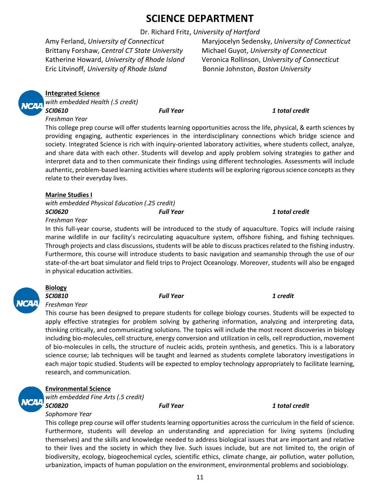# **SCIENCE DEPARTMENT**

Dr. Richard Fritz, *University of Hartford*

Brittany Forshaw, *Central CT State University* Michael Guyot, *University of Connecticut* Katherine Howard, *University of Rhode Island* Veronica Rollinson, *University of Connecticut* Eric Litvinoff, *University of Rhode Island* Bonnie Johnston, *Boston University*

Amy Ferland, *University of Connecticut* Maryjocelyn Sedensky, *University of Connecticut*

**Integrated Science**

*with embedded Health (.5 credit) SCI0610 Full Year 1 total credit*

#### *Freshman Year*

This college prep course will offer students learning opportunities across the life, physical, & earth sciences by providing engaging, authentic experiences in the interdisciplinary connections which bridge science and society. Integrated Science is rich with inquiry-oriented laboratory activities, where students collect, analyze, and share data with each other. Students will develop and apply problem solving strategies to gather and interpret data and to then communicate their findings using different technologies. Assessments will include authentic, problem-based learning activities where students will be exploring rigorous science concepts as they relate to their everyday lives.

#### **Marine Studies I**

*with embedded Physical Education (.25 credit)*

*Freshman Year* 

In this full-year course, students will be introduced to the study of aquaculture. Topics will include raising marine wildlife in our facility's recirculating aquaculture system, offshore fishing, and fishing techniques. Through projects and class discussions, students will be able to discuss practices related to the fishing industry. Furthermore, this course will introduce students to basic navigation and seamanship through the use of our state-of-the-art boat simulator and field trips to Project Oceanology. Moreover, students will also be engaged in physical education activities.



# **Biology**

*Freshman Year*

This course has been designed to prepare students for college biology courses. Students will be expected to apply effective strategies for problem solving by gathering information, analyzing and interpreting data, thinking critically, and communicating solutions. The topics will include the most recent discoveries in biology including bio-molecules, cell structure, energy conversion and utilization in cells, cell reproduction, movement of bio-molecules in cells, the structure of nucleic acids, protein synthesis, and genetics. This is a laboratory science course; lab techniques will be taught and learned as students complete laboratory investigations in each major topic studied. Students will be expected to employ technology appropriately to facilitate learning, research, and communication.

#### **Environmental Science**

*with embedded Fine Arts (.5 credit)*

*SCI0820 Full Year 1 total credit*

#### *Sophomore Year*

This college prep course will offer students learning opportunities across the curriculum in the field of science. Furthermore, students will develop an understanding and appreciation for living systems (including themselves) and the skills and knowledge needed to address biological issues that are important and relative to their lives and the society in which they live. Such issues include, but are not limited to, the origin of biodiversity, ecology, biogeochemical cycles, scientific ethics, climate change, air pollution, water pollution, urbanization, impacts of human population on the environment, environmental problems and sociobiology.

*SCI0620 Full Year 1 total credit*

*SCI0810 Full Year 1 credit*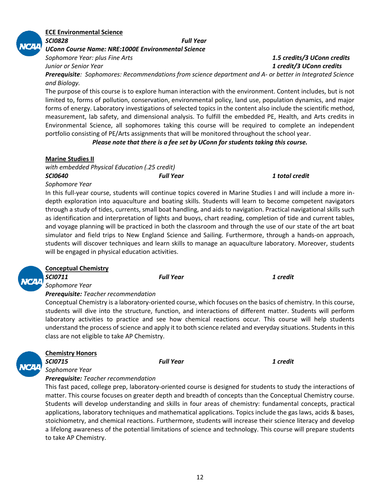#### 12

#### **ECE Environmental Science** *SCI0828 Full Year*

*UConn Course Name: NRE:1000E Environmental Science*

*Prerequisite: Sophomores: Recommendations from science department and A- or better in Integrated Science and Biology.*

The purpose of this course is to explore human interaction with the environment. Content includes, but is not limited to, forms of pollution, conservation, environmental policy, land use, population dynamics, and major forms of energy. Laboratory investigations of selected topics in the content also include the scientific method, measurement, lab safety, and dimensional analysis. To fulfill the embedded PE, Health, and Arts credits in Environmental Science, all sophomores taking this course will be required to complete an independent portfolio consisting of PE/Arts assignments that will be monitored throughout the school year.

*Please note that there is a fee set by UConn for students taking this course.*

#### **Marine Studies II**

*with embedded Physical Education (.25 credit)*

*SCI0640 Full Year 1 total credit Sophomore Year* 

In this full-year course, students will continue topics covered in Marine Studies I and will include a more indepth exploration into aquaculture and boating skills. Students will learn to become competent navigators through a study of tides, currents, small boat handling, and aids to navigation. Practical navigational skills such as identification and interpretation of lights and buoys, chart reading, completion of tide and current tables, and voyage planning will be practiced in both the classroom and through the use of our state of the art boat simulator and field trips to New England Science and Sailing. Furthermore, through a hands-on approach, students will discover techniques and learn skills to manage an aquaculture laboratory. Moreover, students will be engaged in physical education activities.

| ya ka | S |
|-------|---|
|       |   |

#### **Conceptual Chemistry** *SCI0711 Full Year 1 credit*

*Sophomore Year* 

#### *Prerequisite: Teacher recommendation*

Conceptual Chemistry is a laboratory-oriented course, which focuses on the basics of chemistry. In this course, students will dive into the structure, function, and interactions of different matter. Students will perform laboratory activities to practice and see how chemical reactions occur. This course will help students understand the process of science and apply it to both science related and everyday situations. Students in this class are not eligible to take AP Chemistry.

*SCI0715 Full Year 1 credit*



### **Chemistry Honors**

*Sophomore Year*

*Prerequisite: Teacher recommendation*

This fast paced, college prep, laboratory-oriented course is designed for students to study the interactions of matter. This course focuses on greater depth and breadth of concepts than the Conceptual Chemistry course. Students will develop understanding and skills in four areas of chemistry: fundamental concepts, practical applications, laboratory techniques and mathematical applications. Topics include the gas laws, acids & bases, stoichiometry, and chemical reactions. Furthermore, students will increase their science literacy and develop a lifelong awareness of the potential limitations of science and technology. This course will prepare students to take AP Chemistry.



*Sophomore Year: plus Fine Arts 1.5 credits/3 UConn credits Junior or Senior Year 1 credit/3 UConn credits*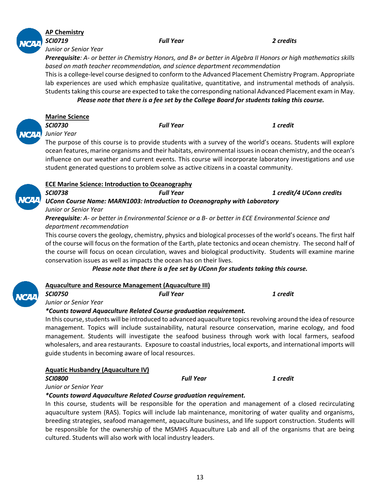

### **AP Chemistry**

*SCI0719 Full Year 2 credits*

*Junior or Senior Year* 

*Prerequisite: A- or better in Chemistry Honors, and B+ or better in Algebra II Honors or high mathematics skills based on math teacher recommendation, and science department recommendation*

This is a college-level course designed to conform to the Advanced Placement Chemistry Program. Appropriate lab experiences are used which emphasize qualitative, quantitative, and instrumental methods of analysis. Students taking this course are expected to take the corresponding national Advanced Placement exam in May.

#### *Please note that there is a fee set by the College Board for students taking this course.*

**Marine Science**

*SCI0730 Full Year 1 credit*

*Junior Year* 

The purpose of this course is to provide students with a survey of the world's oceans. Students will explore ocean features, marine organisms and their habitats, environmental issues in ocean chemistry, and the ocean's influence on our weather and current events. This course will incorporate laboratory investigations and use student generated questions to problem solve as active citizens in a coastal community.

| <b>ECE Marine Science: Introduction to Oceanography</b> |                                                                           |                          |  |  |
|---------------------------------------------------------|---------------------------------------------------------------------------|--------------------------|--|--|
| <b>SCI0738</b>                                          | <b>Full Year</b>                                                          | 1 credit/4 UConn credits |  |  |
|                                                         | UConn Course Name: MARN1003: Introduction to Oceanography with Laboratory |                          |  |  |
| Junior or Senior Year                                   |                                                                           |                          |  |  |

*Prerequisite: A- or better in Environmental Science or a B- or better in ECE Environmental Science and department recommendation*

This course covers the geology, chemistry, physics and biological processes of the world's oceans. The first half of the course will focus on the formation of the Earth, plate tectonics and ocean chemistry. The second half of the course will focus on ocean circulation, waves and biological productivity. Students will examine marine conservation issues as well as impacts the ocean has on their lives.

*Please note that there is a fee set by UConn for students taking this course.*

| $\boldsymbol{v}$<br>v |  |
|-----------------------|--|
|                       |  |

#### **Aquaculture and Resource Management (Aquaculture III)**

*SCI0750 Full Year 1 credit*

*Junior or Senior Year*

#### *\*Counts toward Aquaculture Related Course graduation requirement.*

In this course, students will be introduced to advanced aquaculture topics revolving around the idea of resource management. Topics will include sustainability, natural resource conservation, marine ecology, and food management. Students will investigate the seafood business through work with local farmers, seafood wholesalers, and area restaurants. Exposure to coastal industries, local exports, and international imports will guide students in becoming aware of local resources.

#### **Aquatic Husbandry (Aquaculture IV)**

#### *SCI0800 Full Year 1 credit*

*Junior or Senior Year* 

#### *\*Counts toward Aquaculture Related Course graduation requirement.*

In this course, students will be responsible for the operation and management of a closed recirculating aquaculture system (RAS). Topics will include lab maintenance, monitoring of water quality and organisms, breeding strategies, seafood management, aquaculture business, and life support construction. Students will be responsible for the ownership of the MSMHS Aquaculture Lab and all of the organisms that are being cultured. Students will also work with local industry leaders.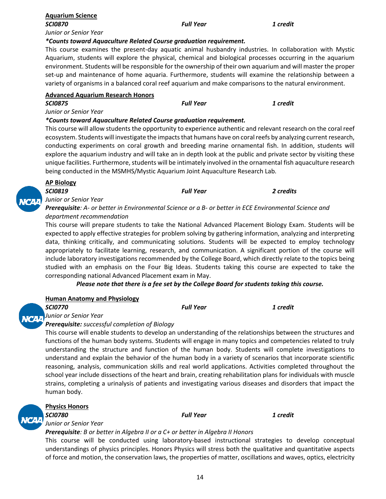| *Counts toward Aquaculture Related Course graduation requirement.                                       |                                                                                                              |                                                                                                           |  |  |  |
|---------------------------------------------------------------------------------------------------------|--------------------------------------------------------------------------------------------------------------|-----------------------------------------------------------------------------------------------------------|--|--|--|
|                                                                                                         |                                                                                                              | This course examines the present-day aquatic animal husbandry industries. In collaboration with Mystic    |  |  |  |
|                                                                                                         |                                                                                                              | Aquarium, students will explore the physical, chemical and biological processes occurring in the aquarium |  |  |  |
|                                                                                                         | environment. Students will be responsible for the ownership of their own aquarium and will master the proper |                                                                                                           |  |  |  |
|                                                                                                         |                                                                                                              | set-up and maintenance of home aquaria. Furthermore, students will examine the relationship between a     |  |  |  |
| variety of organisms in a balanced coral reef aquarium and make comparisons to the natural environment. |                                                                                                              |                                                                                                           |  |  |  |
| <b>Advanced Aquarium Research Honors</b>                                                                |                                                                                                              |                                                                                                           |  |  |  |
| <b>SCI0875</b>                                                                                          | <b>Full Year</b>                                                                                             | 1 credit                                                                                                  |  |  |  |
| Junior or Senior Year                                                                                   |                                                                                                              |                                                                                                           |  |  |  |

#### *\*Counts toward Aquaculture Related Course graduation requirement.*

This course will allow students the opportunity to experience authentic and relevant research on the coral reef ecosystem. Students will investigate the impacts that humans have on coral reefs by analyzing current research, conducting experiments on coral growth and breeding marine ornamental fish. In addition, students will explore the aquarium industry and will take an in depth look at the public and private sector by visiting these unique facilities. Furthermore, students will be intimately involved in the ornamental fish aquaculture research being conducted in the MSMHS/Mystic Aquarium Joint Aquaculture Research Lab.

| <b>AP Biology</b>    |                  |           |
|----------------------|------------------|-----------|
| <b>SCI0819</b>       | <b>Full Year</b> | 2 credits |
| Unior or Senior Year |                  |           |

**Aquarium Science**

*Junior or Senior Year* 

### *Prerequisite: A- or better in Environmental Science or a B- or better in ECE Environmental Science and department recommendation*

This course will prepare students to take the National Advanced Placement Biology Exam. Students will be expected to apply effective strategies for problem solving by gathering information, analyzing and interpreting data, thinking critically, and communicating solutions. Students will be expected to employ technology appropriately to facilitate learning, research, and communication. A significant portion of the course will include laboratory investigations recommended by the College Board, which directly relate to the topics being studied with an emphasis on the Four Big Ideas. Students taking this course are expected to take the corresponding national Advanced Placement exam in May.

*Please note that there is a fee set by the College Board for students taking this course.*

| <b>Human Anatomy and Physiology</b> |                  |          |
|-------------------------------------|------------------|----------|
| SCI0770                             | <b>Full Year</b> | 1 credit |

*Junior or Senior Year*

#### *Prerequisite: successful completion of Biology*

This course will enable students to develop an understanding of the relationships between the structures and functions of the human body systems. Students will engage in many topics and competencies related to truly understanding the structure and function of the human body. Students will complete investigations to understand and explain the behavior of the human body in a variety of scenarios that incorporate scientific reasoning, analysis, communication skills and real world applications. Activities completed throughout the school year include dissections of the heart and brain, creating rehabilitation plans for individuals with muscle strains, completing a urinalysis of patients and investigating various diseases and disorders that impact the human body.



#### **Physics Honors**

#### *SCI0780 Full Year 1 credit*

*Junior or Senior Year*

*Prerequisite: B or better in Algebra II or a C+ or better in Algebra II Honors*

This course will be conducted using laboratory-based instructional strategies to develop conceptual understandings of physics principles. Honors Physics will stress both the qualitative and quantitative aspects of force and motion, the conservation laws, the properties of matter, oscillations and waves, optics, electricity

*SCI0870 Full Year 1 credit*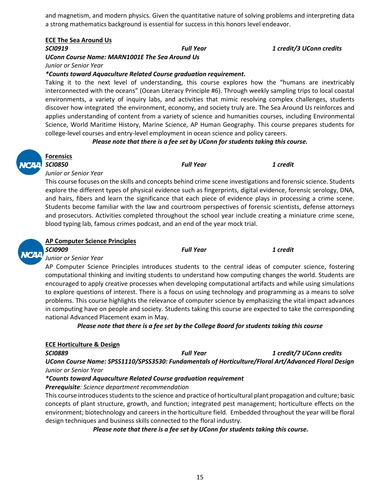and magnetism, and modern physics. Given the quantitative nature of solving problems and interpreting data a strong mathematics background is essential for success in this honors level endeavor.

#### **ECE The Sea Around Us**

*UConn Course Name: MARN1001E The Sea Around Us Junior or Senior Year*

*\*Counts toward Aquaculture Related Course graduation requirement.*

Taking it to the next level of understanding, this course explores how the "humans are inextricably interconnected with the oceans" (Ocean Literacy Principle #6). Through weekly sampling trips to local coastal environments, a variety of inquiry labs, and activities that mimic resolving complex challenges, students discover how integrated the environment, economy, and society truly are. The Sea Around Us reinforces and applies understanding of content from a variety of science and humanities courses, including Environmental Science, World Maritime History, Marine Science, AP Human Geography. This course prepares students for college-level courses and entry-level employment in ocean science and policy careers.

#### *Please note that there is a fee set by UConn for students taking this course.*



### **Forensics**

*SCI0850 Full Year 1 credit*

*Junior or Senior Year*

This course focuses on the skills and concepts behind crime scene investigations and forensic science. Students explore the different types of physical evidence such as fingerprints, digital evidence, forensic serology, DNA, and hairs, fibers and learn the significance that each piece of evidence plays in processing a crime scene. Students become familiar with the law and courtroom perspectives of forensic scientists, defense attorneys and prosecutors. Activities completed throughout the school year include creating a miniature crime scene, blood typing lab, famous crimes podcast, and an end of the year mock trial.



#### **AP Computer Science Principles**

*SCI0909 Full Year 1 credit Junior or Senior Year*

AP Computer Science Principles introduces students to the central ideas of computer science, fostering computational thinking and inviting students to understand how computing changes the world. Students are encouraged to apply creative processes when developing computational artifacts and while using simulations to explore questions of interest. There is a focus on using technology and programming as a means to solve problems. This course highlights the relevance of computer science by emphasizing the vital impact advances in computing have on people and society. Students taking this course are expected to take the corresponding national Advanced Placement exam in May.

*Please note that there is a fee set by the College Board for students taking this course*

#### **ECE Horticulture & Design**

*SCI0889 Full Year 1 credit/7 UConn credits*

*UConn Course Name: SPSS1110/SPSS3530: Fundamentals of Horticulture/Floral Art/Advanced Floral Design Junior or Senior Year*

#### *\*Counts toward Aquaculture Related Course graduation requirement*

*Prerequisite: Science department recommendation*

This course introduces students to the science and practice of horticultural plant propagation and culture; basic concepts of plant structure, growth, and function; integrated pest management; horticulture effects on the environment; biotechnology and careers in the horticulture field. Embedded throughout the year will be floral design techniques and business skills connected to the floral industry.

*Please note that there is a fee set by UConn for students taking this course.*

*SCI0919 Full Year 1 credit/3 UConn credits*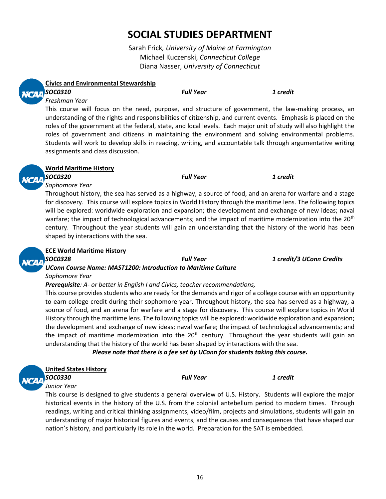# **SOCIAL STUDIES DEPARTMENT**

Sarah Frick*, University of Maine at Farmington* Michael Kuczenski, *Connecticut College* Diana Nasser, *University of Connecticut*



#### **Civics and Environmental Stewardship** *SOC0310 Full Year 1 credit*

# *Freshman Year*

This course will focus on the need, purpose, and structure of government, the law-making process, an understanding of the rights and responsibilities of citizenship, and current events. Emphasis is placed on the roles of the government at the federal, state, and local levels. Each major unit of study will also highlight the roles of government and citizens in maintaining the environment and solving environmental problems. Students will work to develop skills in reading, writing, and accountable talk through argumentative writing assignments and class discussion.



#### **World Maritime History**

*SOC0320 Full Year 1 credit*

#### *Sophomore Year*

Throughout history, the sea has served as a highway, a source of food, and an arena for warfare and a stage for discovery. This course will explore topics in World History through the maritime lens. The following topics will be explored: worldwide exploration and expansion; the development and exchange of new ideas; naval warfare; the impact of technological advancements; and the impact of maritime modernization into the 20<sup>th</sup> century. Throughout the year students will gain an understanding that the history of the world has been shaped by interactions with the sea.



# **ECE World Maritime History**

*SOC0328 Full Year 1 credit/3 UConn Credits*

#### *UConn Course Name: MAST1200: Introduction to Maritime Culture Sophomore Year*

*Prerequisite: A- or better in English I and Civics, teacher recommendations,*

This course provides students who are ready for the demands and rigor of a college course with an opportunity to earn college credit during their sophomore year. Throughout history, the sea has served as a highway, a source of food, and an arena for warfare and a stage for discovery. This course will explore topics in World History through the maritime lens. The following topics will be explored: worldwide exploration and expansion; the development and exchange of new ideas; naval warfare; the impact of technological advancements; and the impact of maritime modernization into the  $20<sup>th</sup>$  century. Throughout the year students will gain an understanding that the history of the world has been shaped by interactions with the sea.

#### *Please note that there is a fee set by UConn for students taking this course.*

| ė |
|---|
| г |
|   |
|   |

#### **United States History**

*SOC0330 Full Year 1 credit Junior Year* 

This course is designed to give students a general overview of U.S. History. Students will explore the major historical events in the history of the U.S. from the colonial antebellum period to modern times. Through readings, writing and critical thinking assignments, video/film, projects and simulations, students will gain an understanding of major historical figures and events, and the causes and consequences that have shaped our nation's history, and particularly its role in the world. Preparation for the SAT is embedded.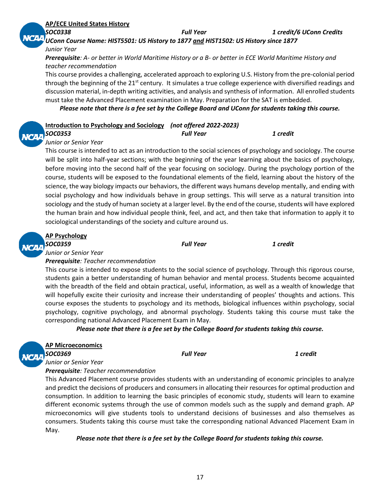#### **AP/ECE United States History**

*SOC0338 Full Year 1 credit/6 UConn Credits*

*UConn Course Name: HIST5501: US History to 1877 and HIST1502: US History since 1877 Junior Year* 

*Prerequisite: A- or better in World Maritime History or a B- or better in ECE World Maritime History and teacher recommendation*

This course provides a challenging, accelerated approach to exploring U.S. History from the pre-colonial period through the beginning of the 21<sup>st</sup> century. It simulates a true college experience with diversified readings and discussion material, in-depth writing activities, and analysis and synthesis of information. All enrolled students must take the Advanced Placement examination in May. Preparation for the SAT is embedded.

*Please note that there is a fee set by the College Board and UConn for students taking this course.* 

#### **Introduction to Psychology and Sociology** *(not offered 2022-2023)*

*SOC0353 Full Year 1 credit*

#### *Junior or Senior Year*

This course is intended to act as an introduction to the social sciences of psychology and sociology. The course will be split into half-year sections; with the beginning of the year learning about the basics of psychology, before moving into the second half of the year focusing on sociology. During the psychology portion of the course, students will be exposed to the foundational elements of the field, learning about the history of the science, the way biology impacts our behaviors, the different ways humans develop mentally, and ending with social psychology and how individuals behave in group settings. This will serve as a natural transition into sociology and the study of human society at a larger level. By the end of the course, students will have explored the human brain and how individual people think, feel, and act, and then take that information to apply it to sociological understandings of the society and culture around us.

#### **AP Psychology**

*SOC0359 Full Year 1 credit*

*Junior or Senior Year* 

#### *Prerequisite: Teacher recommendation*

This course is intended to expose students to the social science of psychology. Through this rigorous course, students gain a better understanding of human behavior and mental process. Students become acquainted with the breadth of the field and obtain practical, useful, information, as well as a wealth of knowledge that will hopefully excite their curiosity and increase their understanding of peoples' thoughts and actions. This course exposes the students to psychology and its methods, biological influences within psychology, social psychology, cognitive psychology, and abnormal psychology. Students taking this course must take the corresponding national Advanced Placement Exam in May.

*Please note that there is a fee set by the College Board for students taking this course.*



**AP Microeconomics**

*SOC0369 Full Year 1 credit*

#### *Junior or Senior Year Prerequisite: Teacher recommendation*

This Advanced Placement course provides students with an understanding of economic principles to analyze and predict the decisions of producers and consumers in allocating their resources for optimal production and consumption. In addition to learning the basic principles of economic study, students will learn to examine different economic systems through the use of common models such as the supply and demand graph. AP microeconomics will give students tools to understand decisions of businesses and also themselves as consumers. Students taking this course must take the corresponding national Advanced Placement Exam in May.

#### *Please note that there is a fee set by the College Board for students taking this course.*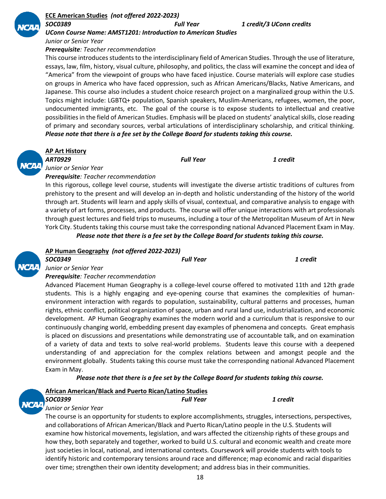

#### **ECE American Studies** *(not offered 2022-2023)*

*SOC0389 Full Year 1 credit/3 UConn credits*

*UConn Course Name: AMST1201: Introduction to American Studies*

*Junior or Senior Year*

#### *Prerequisite: Teacher recommendation*

This course introduces students to the interdisciplinary field of American Studies. Through the use of literature, essays, law, film, history, visual culture, philosophy, and politics, the class will examine the concept and idea of "America" from the viewpoint of groups who have faced injustice. Course materials will explore case studies on groups in America who have faced oppression, such as African Americans/Blacks, Native Americans, and Japanese. This course also includes a student choice research project on a marginalized group within the U.S. Topics might include: LGBTQ+ population, Spanish speakers, Muslim-Americans, refugees, women, the poor, undocumented immigrants, etc. The goal of the course is to expose students to intellectual and creative possibilities in the field of American Studies. Emphasis will be placed on students' analytical skills, close reading of primary and secondary sources, verbal articulations of interdisciplinary scholarship, and critical thinking. *Please note that there is a fee set by the College Board for students taking this course.*



#### **AP Art History**

*ART0929 Full Year 1 credit*

*Junior or Senior Year*

*Prerequisite: Teacher recommendation* 

In this rigorous, college level course, students will investigate the diverse artistic traditions of cultures from prehistory to the present and will develop an in-depth and holistic understanding of the history of the world through art. Students will learn and apply skills of visual, contextual, and comparative analysis to engage with a variety of art forms, processes, and products. The course will offer unique interactions with art professionals through guest lectures and field trips to museums, including a tour of the Metropolitan Museum of Art in New York City. Students taking this course must take the corresponding national Advanced Placement Exam in May.

*Please note that there is a fee set by the College Board for students taking this course.*



#### **AP Human Geography** *(not offered 2022-2023) SOC0349 Full Year 1 credit*

#### *Junior or Senior Year*

#### *Prerequisite: Teacher recommendation*

Advanced Placement Human Geography is a college-level course offered to motivated 11th and 12th grade students. This is a highly engaging and eye-opening course that examines the complexities of humanenvironment interaction with regards to population, sustainability, cultural patterns and processes, human rights, ethnic conflict, political organization of space, urban and rural land use, industrialization, and economic development. AP Human Geography examines the modern world and a curriculum that is responsive to our continuously changing world, embedding present day examples of phenomena and concepts. Great emphasis is placed on discussions and presentations while demonstrating use of accountable talk, and on examination of a variety of data and texts to solve real-world problems. Students leave this course with a deepened understanding of and appreciation for the complex relations between and amongst people and the environment globally. Students taking this course must take the corresponding national Advanced Placement Exam in May.

#### *Please note that there is a fee set by the College Board for students taking this course.*

| <b>African American/Black and Puerto Rican/Latino Studies</b> |                  |          |
|---------------------------------------------------------------|------------------|----------|
| $\frac{1}{2}$ SOC0399                                         | <b>Full Year</b> | 1 credit |
|                                                               |                  |          |

#### *Junior or Senior Year*

The course is an opportunity for students to explore accomplishments, struggles, intersections, perspectives, and collaborations of African American/Black and Puerto Rican/Latino people in the U.S. Students will examine how historical movements, legislation, and wars affected the citizenship rights of these groups and how they, both separately and together, worked to build U.S. cultural and economic wealth and create more just societies in local, national, and international contexts. Coursework will provide students with tools to identify historic and contemporary tensions around race and difference; map economic and racial disparities over time; strengthen their own identity development; and address bias in their communities.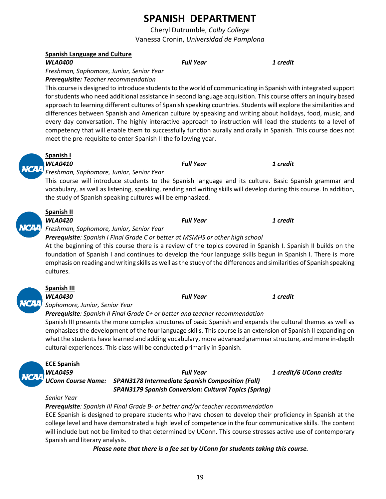# **SPANISH DEPARTMENT**

Cheryl Dutrumble, *Colby College* Vanessa Cronin, *Universidad de Pamplona*

#### **Spanish Language and Culture**

*WLA0400 Full Year 1 credit*

*Freshman, Sophomore, Junior, Senior Year Prerequisite: Teacher recommendation*

This course is designed to introduce students to the world of communicating in Spanish with integrated support for students who need additional assistance in second language acquisition. This course offers an inquiry based approach to learning different cultures of Spanish speaking countries. Students will explore the similarities and differences between Spanish and American culture by speaking and writing about holidays, food, music, and every day conversation. The highly interactive approach to instruction will lead the students to a level of competency that will enable them to successfully function aurally and orally in Spanish. This course does not meet the pre-requisite to enter Spanish II the following year.

# *Freshman, Sophomore, Junior, Senior Year*

### **Spanish I**

**Spanish II**

#### *WLA0410 Full Year 1 credit*

This course will introduce students to the Spanish language and its culture. Basic Spanish grammar and vocabulary, as well as listening, speaking, reading and writing skills will develop during this course. In addition,

*WLA0420 Full Year 1 credit Freshman, Sophomore, Junior, Senior Year* 

the study of Spanish speaking cultures will be emphasized.

*Prerequisite: Spanish I Final Grade C or better at MSMHS or other high school*

At the beginning of this course there is a review of the topics covered in Spanish I. Spanish II builds on the foundation of Spanish I and continues to develop the four language skills begun in Spanish I. There is more emphasis on reading and writing skills as well as the study of the differences and similarities of Spanish speaking cultures.



# **Spanish III**

*WLA0430 Full Year 1 credit Sophomore, Junior, Senior Year* 

### *Prerequisite: Spanish II Final Grade C+ or better and teacher recommendation*

Spanish III presents the more complex structures of basic Spanish and expands the cultural themes as well as emphasizes the development of the four language skills. This course is an extension of Spanish II expanding on what the students have learned and adding vocabulary, more advanced grammar structure, and more in-depth cultural experiences. This class will be conducted primarily in Spanish.



#### *WLA0459 Full Year 1 credit/6 UConn credits UConn Course Name: SPAN3178 Intermediate Spanish Composition (Fall) SPAN3179 Spanish Conversion: Cultural Topics (Spring)*

#### *Senior Year*

*Prerequisite: Spanish III Final Grade B- or better and/or teacher recommendation* ECE Spanish is designed to prepare students who have chosen to develop their proficiency in Spanish at the college level and have demonstrated a high level of competence in the four communicative skills. The content will include but not be limited to that determined by UConn. This course stresses active use of contemporary Spanish and literary analysis.

#### *Please note that there is a fee set by UConn for students taking this course.*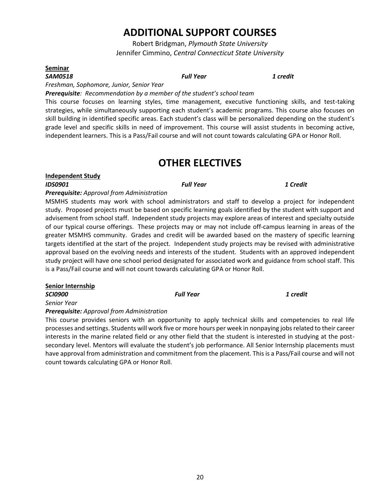# **ADDITIONAL SUPPORT COURSES**

Robert Bridgman, *Plymouth State University* Jennifer Cimmino, *Central Connecticut State University*

#### **Seminar**

*SAM0518 Full Year 1 credit*

*Freshman, Sophomore, Junior, Senior Year* 

*Prerequisite: Recommendation by a member of the student's school team*

This course focuses on learning styles, time management, executive functioning skills, and test-taking strategies, while simultaneously supporting each student's academic programs. This course also focuses on skill building in identified specific areas. Each student's class will be personalized depending on the student's grade level and specific skills in need of improvement. This course will assist students in becoming active, independent learners. This is a Pass/Fail course and will not count towards calculating GPA or Honor Roll.

# **OTHER ELECTIVES**

**Independent Study**

#### *IDS0901 Full Year 1 Credit*

#### *Prerequisite: Approval from Administration*

MSMHS students may work with school administrators and staff to develop a project for independent study. Proposed projects must be based on specific learning goals identified by the student with support and advisement from school staff. Independent study projects may explore areas of interest and specialty outside of our typical course offerings. These projects may or may not include off-campus learning in areas of the greater MSMHS community. Grades and credit will be awarded based on the mastery of specific learning targets identified at the start of the project. Independent study projects may be revised with administrative approval based on the evolving needs and interests of the student. Students with an approved independent study project will have one school period designated for associated work and guidance from school staff. This is a Pass/Fail course and will not count towards calculating GPA or Honor Roll.

#### **Senior Internship**

*SCI0900 Full Year 1 credit*

*Senior Year*

*Prerequisite: Approval from Administration* 

This course provides seniors with an opportunity to apply technical skills and competencies to real life processes and settings. Students will work five or more hours per week in nonpaying jobs related to their career interests in the marine related field or any other field that the student is interested in studying at the postsecondary level. Mentors will evaluate the student's job performance. All Senior Internship placements must have approval from administration and commitment from the placement. This is a Pass/Fail course and will not count towards calculating GPA or Honor Roll.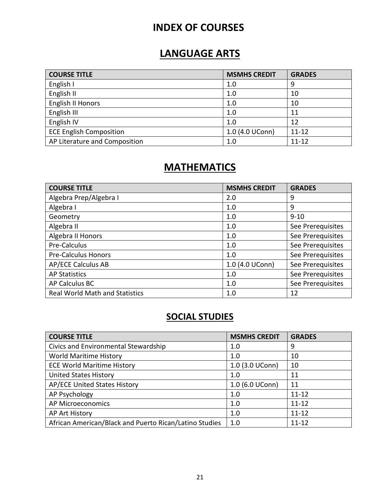# **INDEX OF COURSES**

# **LANGUAGE ARTS**

| <b>COURSE TITLE</b>            | <b>MSMHS CREDIT</b> | <b>GRADES</b> |
|--------------------------------|---------------------|---------------|
| English I                      | 1.0                 | 9             |
| English II                     | 1.0                 | 10            |
| English II Honors              | 1.0                 | 10            |
| English III                    | 1.0                 | 11            |
| English IV                     | 1.0                 | 12            |
| <b>ECE English Composition</b> | 1.0 (4.0 UConn)     | $11 - 12$     |
| AP Literature and Composition  | 1.0                 | $11 - 12$     |

# **MATHEMATICS**

| <b>COURSE TITLE</b>                   | <b>MSMHS CREDIT</b> | <b>GRADES</b>     |
|---------------------------------------|---------------------|-------------------|
| Algebra Prep/Algebra I                | 2.0                 | 9                 |
| Algebra I                             | 1.0                 | 9                 |
| Geometry                              | 1.0                 | $9 - 10$          |
| Algebra II                            | 1.0                 | See Prerequisites |
| Algebra II Honors                     | 1.0                 | See Prerequisites |
| Pre-Calculus                          | 1.0                 | See Prerequisites |
| <b>Pre-Calculus Honors</b>            | 1.0                 | See Prerequisites |
| <b>AP/ECE Calculus AB</b>             | 1.0 (4.0 UConn)     | See Prerequisites |
| <b>AP Statistics</b>                  | 1.0                 | See Prerequisites |
| AP Calculus BC                        | 1.0                 | See Prerequisites |
| <b>Real World Math and Statistics</b> | 1.0                 | 12                |

# **SOCIAL STUDIES**

| <b>COURSE TITLE</b>                                    | <b>MSMHS CREDIT</b> | <b>GRADES</b> |
|--------------------------------------------------------|---------------------|---------------|
| Civics and Environmental Stewardship                   | 1.0                 | 9             |
| World Maritime History                                 | 1.0                 | 10            |
| <b>ECE World Maritime History</b>                      | 1.0 (3.0 UConn)     | 10            |
| <b>United States History</b>                           | 1.0                 | 11            |
| AP/ECE United States History                           | 1.0 (6.0 UConn)     | 11            |
| AP Psychology                                          | 1.0                 | $11 - 12$     |
| AP Microeconomics                                      | 1.0                 | $11 - 12$     |
| AP Art History                                         | 1.0                 | $11 - 12$     |
| African American/Black and Puerto Rican/Latino Studies | 1.0                 | $11 - 12$     |